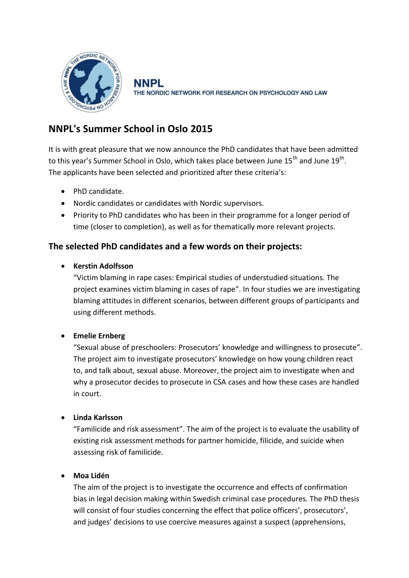

**NNPL** THE NORDIC NETWORK FOR RESEARCH ON PSYCHOLOGY AND LAW

# **NNPL's Summer School in Oslo 2015**

It is with great pleasure that we now announce the PhD candidates that have been admitted to this year's Summer School in Oslo, which takes place between June 15<sup>th</sup> and June 19<sup>th</sup>. The applicants have been selected and prioritized after these criteria's:

- PhD candidate.
- Nordic candidates or candidates with Nordic supervisors.
- Priority to PhD candidates who has been in their programme for a longer period of time (closer to completion), as well as for thematically more relevant projects.

## **The selected PhD candidates and a few words on their projects:**

**Kerstin Adolfsson**

"Victim blaming in rape cases: Empirical studies of understudied situations. The project examines victim blaming in cases of rape". In four studies we are investigating blaming attitudes in different scenarios, between different groups of participants and using different methods.

## **Emelie Ernberg**

"Sexual abuse of preschoolers: Prosecutors' knowledge and willingness to prosecute". The project aim to investigate prosecutors' knowledge on how young children react to, and talk about, sexual abuse. Moreover, the project aim to investigate when and why a prosecutor decides to prosecute in CSA cases and how these cases are handled in court.

## **Linda Karlsson**

"Familicide and risk assessment". The aim of the project is to evaluate the usability of existing risk assessment methods for partner homicide, filicide, and suicide when assessing risk of familicide.

## **Moa Lidén**

The aim of the project is to investigate the occurrence and effects of confirmation bias in legal decision making within Swedish criminal case procedures. The PhD thesis will consist of four studies concerning the effect that police officers', prosecutors', and judges' decisions to use coercive measures against a suspect (apprehensions,